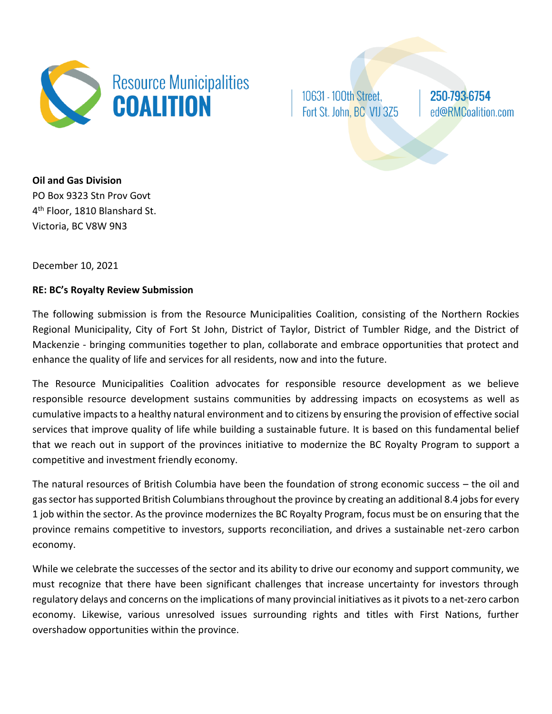

10631 - 100th Street, Fort St. John, BC V1J 3Z5 250-793-6754 ed@RMCoalition.com

**Oil and Gas Division** PO Box 9323 Stn Prov Govt 4<sup>th</sup> Floor, 1810 Blanshard St. Victoria, BC V8W 9N3

December 10, 2021

# **RE: BC's Royalty Review Submission**

The following submission is from the Resource Municipalities Coalition, consisting of the Northern Rockies Regional Municipality, City of Fort St John, District of Taylor, District of Tumbler Ridge, and the District of Mackenzie - bringing communities together to plan, collaborate and embrace opportunities that protect and enhance the quality of life and services for all residents, now and into the future.

The Resource Municipalities Coalition advocates for responsible resource development as we believe responsible resource development sustains communities by addressing impacts on ecosystems as well as cumulative impacts to a healthy natural environment and to citizens by ensuring the provision of effective social services that improve quality of life while building a sustainable future. It is based on this fundamental belief that we reach out in support of the provinces initiative to modernize the BC Royalty Program to support a competitive and investment friendly economy.

The natural resources of British Columbia have been the foundation of strong economic success – the oil and gas sector has supported British Columbians throughout the province by creating an additional 8.4 jobs for every 1 job within the sector. As the province modernizes the BC Royalty Program, focus must be on ensuring that the province remains competitive to investors, supports reconciliation, and drives a sustainable net-zero carbon economy.

While we celebrate the successes of the sector and its ability to drive our economy and support community, we must recognize that there have been significant challenges that increase uncertainty for investors through regulatory delays and concerns on the implications of many provincial initiatives as it pivots to a net-zero carbon economy. Likewise, various unresolved issues surrounding rights and titles with First Nations, further overshadow opportunities within the province.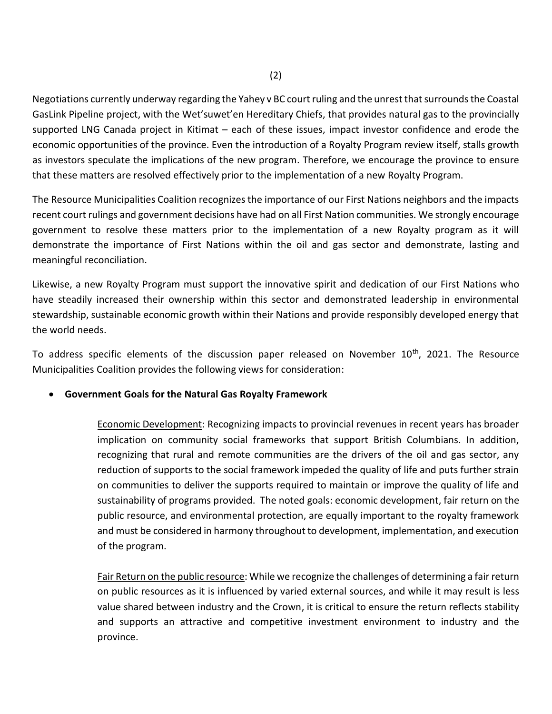Negotiations currently underway regarding the Yahey v BC court ruling and the unrest that surrounds the Coastal GasLink Pipeline project, with the Wet'suwet'en Hereditary Chiefs, that provides natural gas to the provincially supported LNG Canada project in Kitimat – each of these issues, impact investor confidence and erode the economic opportunities of the province. Even the introduction of a Royalty Program review itself, stalls growth as investors speculate the implications of the new program. Therefore, we encourage the province to ensure that these matters are resolved effectively prior to the implementation of a new Royalty Program.

The Resource Municipalities Coalition recognizes the importance of our First Nations neighbors and the impacts recent court rulings and government decisions have had on all First Nation communities. We strongly encourage government to resolve these matters prior to the implementation of a new Royalty program as it will demonstrate the importance of First Nations within the oil and gas sector and demonstrate, lasting and meaningful reconciliation.

Likewise, a new Royalty Program must support the innovative spirit and dedication of our First Nations who have steadily increased their ownership within this sector and demonstrated leadership in environmental stewardship, sustainable economic growth within their Nations and provide responsibly developed energy that the world needs.

To address specific elements of the discussion paper released on November 10<sup>th</sup>, 2021. The Resource Municipalities Coalition provides the following views for consideration:

# • **Government Goals for the Natural Gas Royalty Framework**

Economic Development: Recognizing impacts to provincial revenues in recent years has broader implication on community social frameworks that support British Columbians. In addition, recognizing that rural and remote communities are the drivers of the oil and gas sector, any reduction of supports to the social framework impeded the quality of life and puts further strain on communities to deliver the supports required to maintain or improve the quality of life and sustainability of programs provided. The noted goals: economic development, fair return on the public resource, and environmental protection, are equally important to the royalty framework and must be considered in harmony throughout to development, implementation, and execution of the program.

Fair Return on the public resource: While we recognize the challenges of determining a fair return on public resources as it is influenced by varied external sources, and while it may result is less value shared between industry and the Crown, it is critical to ensure the return reflects stability and supports an attractive and competitive investment environment to industry and the province.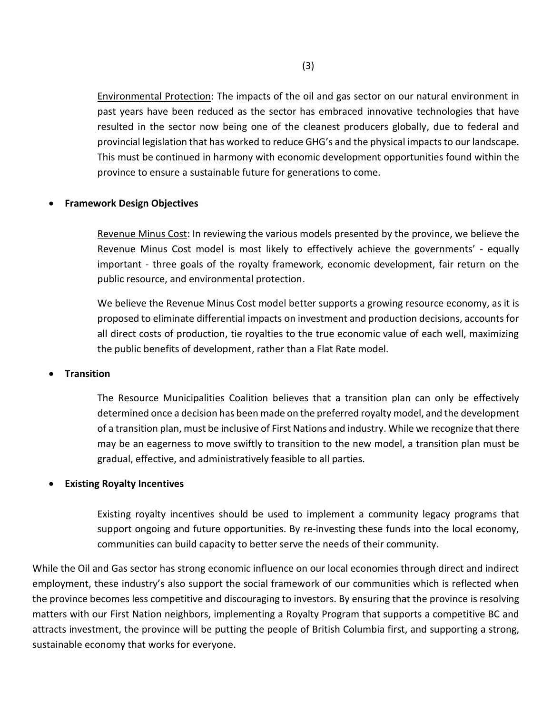Environmental Protection: The impacts of the oil and gas sector on our natural environment in past years have been reduced as the sector has embraced innovative technologies that have resulted in the sector now being one of the cleanest producers globally, due to federal and provincial legislation that has worked to reduce GHG's and the physical impacts to our landscape. This must be continued in harmony with economic development opportunities found within the province to ensure a sustainable future for generations to come.

### • **Framework Design Objectives**

Revenue Minus Cost: In reviewing the various models presented by the province, we believe the Revenue Minus Cost model is most likely to effectively achieve the governments' - equally important - three goals of the royalty framework, economic development, fair return on the public resource, and environmental protection.

We believe the Revenue Minus Cost model better supports a growing resource economy, as it is proposed to eliminate differential impacts on investment and production decisions, accounts for all direct costs of production, tie royalties to the true economic value of each well, maximizing the public benefits of development, rather than a Flat Rate model.

#### • **Transition**

The Resource Municipalities Coalition believes that a transition plan can only be effectively determined once a decision has been made on the preferred royalty model, and the development of a transition plan, must be inclusive of First Nations and industry. While we recognize that there may be an eagerness to move swiftly to transition to the new model, a transition plan must be gradual, effective, and administratively feasible to all parties.

### • **Existing Royalty Incentives**

Existing royalty incentives should be used to implement a community legacy programs that support ongoing and future opportunities. By re-investing these funds into the local economy, communities can build capacity to better serve the needs of their community.

While the Oil and Gas sector has strong economic influence on our local economies through direct and indirect employment, these industry's also support the social framework of our communities which is reflected when the province becomes less competitive and discouraging to investors. By ensuring that the province is resolving matters with our First Nation neighbors, implementing a Royalty Program that supports a competitive BC and attracts investment, the province will be putting the people of British Columbia first, and supporting a strong, sustainable economy that works for everyone.